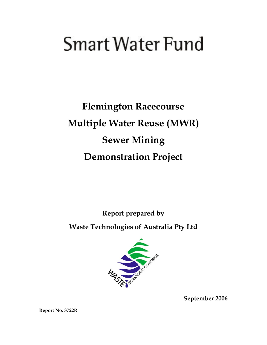# **Smart Water Fund**

**Flemington Racecourse Multiple Water Reuse (MWR) Sewer Mining Demonstration Project** 

**Report prepared by** 

**Waste Technologies of Australia Pty Ltd** 



**September 2006** 

**Report No. 3722R**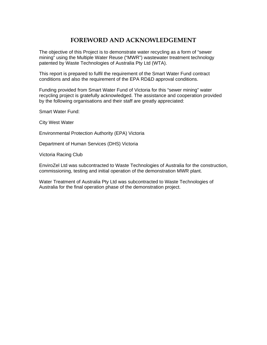# **FOREWORD AND ACKNOWLEDGEMENT**

The objective of this Project is to demonstrate water recycling as a form of "sewer mining" using the Multiple Water Reuse ("MWR") wastewater treatment technology patented by Waste Technologies of Australia Pty Ltd (WTA).

This report is prepared to fulfil the requirement of the Smart Water Fund contract conditions and also the requirement of the EPA RD&D approval conditions.

Funding provided from Smart Water Fund of Victoria for this "sewer mining" water recycling project is gratefully acknowledged. The assistance and cooperation provided by the following organisations and their staff are greatly appreciated:

Smart Water Fund:

City West Water

Environmental Protection Authority (EPA) Victoria

Department of Human Services (DHS) Victoria

Victoria Racing Club

EnviroZel Ltd was subcontracted to Waste Technologies of Australia for the construction, commissioning, testing and initial operation of the demonstration MWR plant.

Water Treatment of Australia Pty Ltd was subcontracted to Waste Technologies of Australia for the final operation phase of the demonstration project.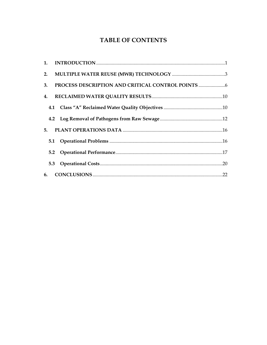# **TABLE OF CONTENTS**

| 3. |  |  |
|----|--|--|
| 4. |  |  |
|    |  |  |
|    |  |  |
|    |  |  |
|    |  |  |
|    |  |  |
|    |  |  |
|    |  |  |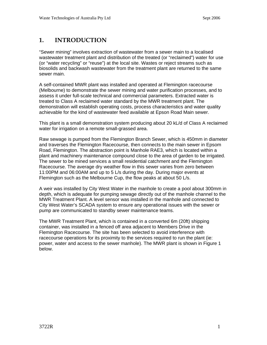# <span id="page-3-0"></span>**1. INTRODUCTION**

"Sewer mining" involves extraction of wastewater from a sewer main to a localised wastewater treatment plant and distribution of the treated (or "reclaimed") water for use (or "water recycling" or "reuse") at the local site. Wastes or reject streams such as biosolids and backwash wastewater from the treatment plant are returned to the same sewer main.

A self-contained MWR plant was installed and operated at Flemington racecourse (Melbourne) to demonstrate the sewer mining and water purification processes, and to assess it under full-scale technical and commercial parameters. Extracted water is treated to Class A reclaimed water standard by the MWR treatment plant. The demonstration will establish operating costs, process characteristics and water quality achievable for the kind of wastewater feed available at Epson Road Main sewer.

This plant is a small demonstration system producing about 20 kL/d of Class A reclaimed water for irrigation on a remote small-grassed area.

Raw sewage is pumped from the Flemington Branch Sewer, which is 450mm in diameter and traverses the Flemington Racecourse, then connects to the main sewer in Epsom Road, Flemington. The abstraction point is Manhole RAE3, which is located within a plant and machinery maintenance compound close to the area of garden to be irrigated. The sewer to be mined services a small residential catchment and the Flemington Racecourse. The average dry weather flow in this sewer varies from zero between 11:00PM and 06:00AM and up to 5 L/s during the day. During major events at Flemington such as the Melbourne Cup, the flow peaks at about 50 L/s.

A weir was installed by City West Water in the manhole to create a pool about 300mm in depth, which is adequate for pumping sewage directly out of the manhole channel to the MWR Treatment Plant. A level sensor was installed in the manhole and connected to City West Water's SCADA system to ensure any operational issues with the sewer or pump are communicated to standby sewer maintenance teams.

The MWR Treatment Plant, which is contained in a converted 6m (20ft) shipping container, was installed in a fenced off area adjacent to Members Drive in the Flemington Racecourse. The site has been selected to avoid interference with racecourse operations for its proximity to the services required to run the plant (ie: power, water and access to the sewer manhole). The MWR plant is shown in Figure 1 below.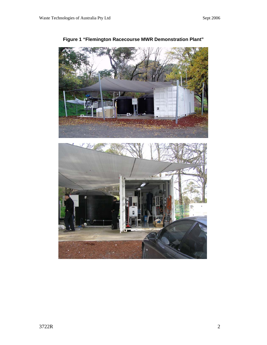

**Figure 1 "Flemington Racecourse MWR Demonstration Plant"**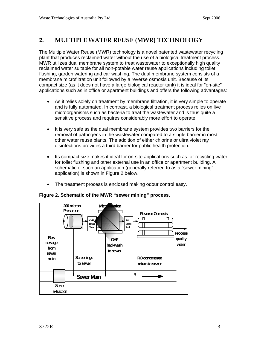# <span id="page-5-0"></span>**2. MULTIPLE WATER REUSE (MWR) TECHNOLOGY**

The Multiple Water Reuse (MWR) technology is a novel patented wastewater recycling plant that produces reclaimed water without the use of a biological treatment process. MWR utilizes dual membrane system to treat wastewater to exceptionally high quality reclaimed water suitable for all non-potable water reuse applications including toilet flushing, garden watering and car washing. The dual membrane system consists of a membrane microfiltration unit followed by a reverse osmosis unit. Because of its compact size (as it does not have a large biological reactor tank) it is ideal for "on-site" applications such as in office or apartment buildings and offers the following advantages:

- As it relies solely on treatment by membrane filtration, it is very simple to operate and is fully automated. In contrast, a biological treatment process relies on live microorganisms such as bacteria to treat the wastewater and is thus quite a sensitive process and requires considerably more effort to operate.
- It is very safe as the dual membrane system provides two barriers for the removal of pathogens in the wastewater compared to a single barrier in most other water reuse plants. The addition of either chlorine or ultra violet ray disinfections provides a third barrier for public health protection.
- Its compact size makes it ideal for on-site applications such as for recycling water for toilet flushing and other external use in an office or apartment building. A schematic of such an application (generally referred to as a "sewer mining" application) is shown in Figure 2 below.
- The treatment process is enclosed making odour control easy.



#### **Figure 2. Schematic of the MWR "sewer mining" process.**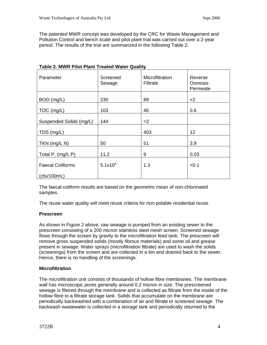The patented MWR concept was developed by the CRC for Waste Management and Pollution Control and bench scale and pilot plant trial was carried out over a 2-year period. The results of the trial are summarized in the following Table 2.

| Parameter               | Screened<br>Sewage | Microfiltration<br>Filtrate | Reverse<br>Osmosis<br>Permeate |
|-------------------------|--------------------|-----------------------------|--------------------------------|
| BOD (mg/L)              | 230                | 89                          | $<$ 2                          |
| TOC (mg/L)              | 103                | 46                          | 0.6                            |
| Suspended Solids (mg/L) | 144                | $<$ 2                       |                                |
| TDS (mg/L)              |                    | 403                         | 12                             |
| TKN (mg/L N)            | 50                 | 51                          | 3.9                            |
| Total P. (mg/L P)       | 11.2               | 9                           | 0.03                           |
| <b>Faecal Coliforms</b> | $5.1x10^{6}$       | 1.3                         | < 0.1                          |
| (ctu/100mL)             |                    |                             |                                |

## **Table 2. MWR Pilot Plant Treated Water Quality**

The faecal coliform results are based on the geometric mean of non-chlorinated samples.

The reuse water quality will meet reuse criteria for non-potable residential reuse.

#### **Prescreen**

As shown in Figure 2 above, raw sewage is pumped from an existing sewer to the prescreen consisting of a 200 micron stainless steel mesh screen. Screened sewage flows through the screen by gravity to the microfiltration feed tank. The prescreen will remove gross suspended solids (mostly fibrous materials) and some oil and grease present in sewage. Water sprays (microfiltration filtrate) are used to wash the solids (screenings) from the screen and are collected in a bin and drained back to the sewer. Hence, there is no handling of the screenings.

## **Microfiltration**

The microfiltration unit consists of thousands of hollow fibre membranes. The membrane wall has microscopic pores generally around 0.2 micron in size. The prescreened sewage is filtered through the membrane and is collected as filtrate from the inside of the hollow fibre to a filtrate storage tank. Solids that accumulate on the membrane are periodically backwashed with a combination of air and filtrate or screened sewage. The backwash wastewater is collected in a storage tank and periodically returned to the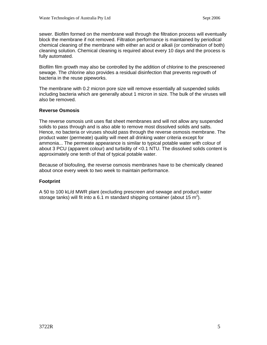sewer. Biofilm formed on the membrane wall through the filtration process will eventually block the membrane if not removed. Filtration performance is maintained by periodical chemical cleaning of the membrane with either an acid or alkali (or combination of both) cleaning solution. Chemical cleaning is required about every 10 days and the process is fully automated.

Biofilm film growth may also be controlled by the addition of chlorine to the prescreened sewage. The chlorine also provides a residual disinfection that prevents regrowth of bacteria in the reuse pipeworks.

The membrane with 0.2 micron pore size will remove essentially all suspended solids including bacteria which are generally about 1 micron in size. The bulk of the viruses will also be removed.

#### **Reverse Osmosis**

The reverse osmosis unit uses flat sheet membranes and will not allow any suspended solids to pass through and is also able to remove most dissolved solids and salts. Hence, no bacteria or viruses should pass through the reverse osmosis membrane. The product water (permeate) quality will meet all drinking water criteria except for ammonia... The permeate appearance is similar to typical potable water with colour of about 3 PCU (apparent colour) and turbidity of <0.1 NTU. The dissolved solids content is approximately one tenth of that of typical potable water.

Because of biofouling, the reverse osmosis membranes have to be chemically cleaned about once every week to two week to maintain performance.

#### **Footprint**

A 50 to 100 kL/d MWR plant (excluding prescreen and sewage and product water storage tanks) will fit into a 6.1 m standard shipping container (about 15 m<sup>2</sup>).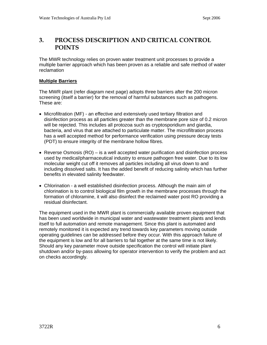## <span id="page-8-0"></span>**3. PROCESS DESCRIPTION AND CRITICAL CONTROL POINTS**

The MWR technology relies on proven water treatment unit processes to provide a multiple barrier approach which has been proven as a reliable and safe method of water reclamation

#### **Multiple Barriers**

The MWR plant (refer diagram next page) adopts three barriers after the 200 micron screening (itself a barrier) for the removal of harmful substances such as pathogens. These are:

- Microfiltration (MF) an effective and extensively used tertiary filtration and disinfection process as all particles greater than the membrane pore size of 0.2 micron will be rejected. This includes all protozoa such as cryptosporidium and giardia, bacteria, and virus that are attached to particulate matter. The microfiltration process has a well accepted method for performance verification using pressure decay tests (PDT) to ensure integrity of the membrane hollow fibres.
- Reverse Osmosis (RO) is a well accepted water purification and disinfection process used by medical/pharmaceutical industry to ensure pathogen free water. Due to its low molecular weight cut off it removes all particles including all virus down to and including dissolved salts. It has the added benefit of reducing salinity which has further benefits in elevated salinity feedwater.
- Chlorination a well established disinfection process. Although the main aim of chlorination is to control biological film growth in the membrane processes through the formation of chloramine, it will also disinfect the reclaimed water post RO providing a residual disinfectant.

The equipment used in the MWR plant is commercially available proven equipment that has been used worldwide in municipal water and wastewater treatment plants and lends itself to full automation and remote management. Since this plant is automated and remotely monitored it is expected any trend towards key parameters moving outside operating guidelines can be addressed before they occur. With this approach failure of the equipment is low and for all barriers to fail together at the same time is not likely. Should any key parameter move outside specification the control will initiate plant shutdown and/or by-pass allowing for operator intervention to verify the problem and act on checks accordingly.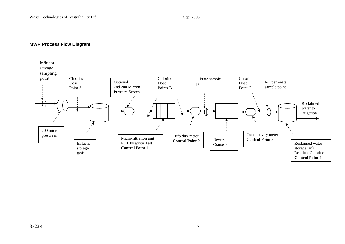#### **MWR Process Flow Diagram**

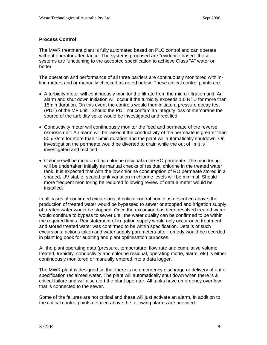#### **Process Control**

The MWR treatment plant is fully automated based on PLC control and can operate without operator attendance. The systems proposed are "evidence based" those systems are functioning to the accepted specification to achieve Class "A" water or better.

The operation and performance of all three barriers are continuously monitored with inline meters and or manually checked as noted below. These critical control points are:

- A turbidity meter will continuously monitor the filtrate from the micro-filtration unit. An alarm and shut down initiation will occur if the turbidity exceeds 1.0 NTU for more than 15min duration. On this event the controls would then initiate a pressure decay test (PDT) of the MF unit. Should the PDT not confirm an integrity loss of membrane the source of the turbidity spike would be investigated and rectified.
- Conductivity meter will continuously monitor the feed and permeate of the reverse osmosis unit. An alarm will be raised if the conductivity of the permeate is greater than 50 μS/cm for more than 15min duration and the plant will automatically shutdown. On investigation the permeate would be diverted to drain while the out of limit is investigated and rectified.
- Chlorine will be monitored as chlorine residual in the RO permeate. The monitoring will be undertaken initially as manual checks of residual chlorine in the treated water tank. It is expected that with the low chlorine consumption of RO permeate stored in a shaded, UV stable, sealed tank variation in chlorine levels will be minimal. Should more frequent monitoring be required following review of data a meter would be installed.

In all cases of confirmed excursions of critical control points as described above; the production of treated water would be bypassed to sewer or stopped and irrigation supply of treated water would be stopped. Once the excursion has been resolved treated water would continue to bypass to sewer until the water quality can be confirmed to be within the required limits. Reinstatement of irrigation supply would only occur once treatment and stored treated water was confirmed to be within specification. Details of such excursions, actions taken and water supply parameters after remedy would be recorded in plant log book for auditing and plant optimisation purposes.

All the plant operating data (pressure, temperature, flow rate and cumulative volume treated, turbidity, conductivity and chlorine residual, operating mode, alarm, etc) is either continuously monitored or manually entered into a data logger.

The MWR plant is designed so that there is no emergency discharge or delivery of out of specification reclaimed water. The plant will automatically shut down when there is a critical failure and will also alert the plant operator. All tanks have emergency overflow that is connected to the sewer.

Some of the failures are not critical and these will just activate an alarm. In addition to the critical control points detailed above the following alarms are provided: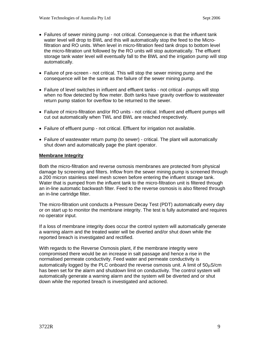- Failures of sewer mining pump not critical. Consequence is that the influent tank water level will drop to BWL and this will automatically stop the feed to the Microfiltration and RO units. When level in micro-filtration feed tank drops to bottom level the micro-filtration unit followed by the RO units will stop automatically. The effluent storage tank water level will eventually fall to the BWL and the irrigation pump will stop automatically.
- Failure of pre-screen not critical. This will stop the sewer mining pump and the consequence will be the same as the failure of the sewer mining pump.
- Failure of level switches in influent and effluent tanks not critical pumps will stop when no flow detected by flow meter. Both tanks have gravity overflow to wastewater return pump station for overflow to be returned to the sewer.
- Failure of micro-filtration and/or RO units not critical. Influent and effluent pumps will cut out automatically when TWL and BWL are reached respectively.
- Failure of effluent pump not critical. Effluent for irrigation not available.
- Failure of wastewater return pump (to sewer) critical. The plant will automatically shut down and automatically page the plant operator.

#### **Membrane Integrity**

Both the micro-filtration and reverse osmosis membranes are protected from physical damage by screening and filters. Inflow from the sewer mining pump is screened through a 200 micron stainless steel mesh screen before entering the influent storage tank. Water that is pumped from the influent tank to the micro-filtration unit is filtered through an in-line automatic backwash filter. Feed to the reverse osmosis is also filtered through an in-line cartridge filter.

The micro-filtration unit conducts a Pressure Decay Test (PDT) automatically every day or on start up to monitor the membrane integrity. The test is fully automated and requires no operator input.

If a loss of membrane integrity does occur the control system will automatically generate a warning alarm and the treated water will be diverted and/or shut down while the reported breach is investigated and rectified.

With regards to the Reverse Osmosis plant, if the membrane integrity were compromised there would be an increase in salt passage and hence a rise in the normalised permeate conductivity. Feed water and permeate conductivity is automatically logged by the PLC onboard the reverse osmosis unit. A limit of 50μS/cm has been set for the alarm and shutdown limit on conductivity. The control system will automatically generate a warning alarm and the system will be diverted and or shut down while the reported breach is investigated and actioned.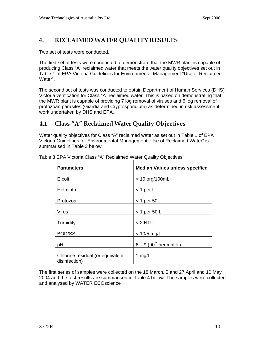# <span id="page-12-0"></span>**4. RECLAIMED WATER QUALITY RESULTS**

Two set of tests were conducted.

The first set of tests were conducted to demonstrate that the MWR plant is capable of producing Class "A" reclaimed water that meets the water quality objectives set out in Table 1 of EPA Victoria Guidelines for Environmental Management "Use of Reclaimed Water".

The second set of tests was conducted to obtain Department of Human Services (DHS) Victoria verification for Class "A" reclaimed water. This is based on demonstrating that the MWR plant is capable of providing 7 log removal of viruses and 6 log removal of protozoan parasites (Giardia and Cryptosporidium) as determined in risk assessment work undertaken by DHS and EPA.

## **4.1 Class "A" Reclaimed Water Quality Objectives**

Water quality objectives for Class "A" reclaimed water as set out in Table 1 of EPA Victoria Guidelines for Environmental Management "Use of Reclaimed Water" is summarised in Table 3 below.

| <b>Parameters</b>                                 | <b>Median Values unless specified</b> |  |
|---------------------------------------------------|---------------------------------------|--|
| E.coli                                            | $<$ 10 org/100mL                      |  |
| <b>Helminth</b>                                   | $<$ 1 per L                           |  |
| Protozoa                                          | $<$ 1 per 50L                         |  |
| Virus                                             | $<$ 1 per 50 L                        |  |
| Turbidity                                         | $< 2$ NTU                             |  |
| <b>BOD/SS</b>                                     | $< 10/5$ mg/L                         |  |
| pH                                                | $6 - 9$ (90 <sup>th</sup> percentile) |  |
| Chlorine residual (or equivalent<br>disinfection) | 1 $mg/L$                              |  |

Table 3 EPA Victoria Class "A" Reclaimed Water Quality Objectives

The first series of samples were collected on the 18 March, 5 and 27 April and 10 May 2004 and the test results are summarised in Table 4 below. The samples were collected and analysed by WATER ECOscience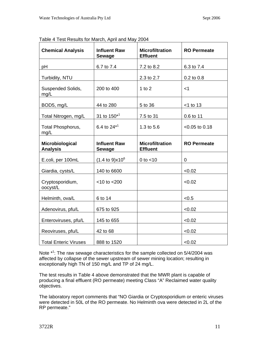| <b>Chemical Analysis</b>           | <b>Influent Raw</b><br><b>Sewage</b> | <b>Microfiltration</b><br><b>Effluent</b> | <b>RO Permeate</b> |
|------------------------------------|--------------------------------------|-------------------------------------------|--------------------|
| pH                                 | 6.7 to 7.4                           | 7.2 to 8.2                                | 6.3 to 7.4         |
| Turbidity, NTU                     |                                      | 2.3 to 2.7                                | 0.2 to 0.8         |
| Suspended Solids,<br>mg/L          | 200 to 400                           | 1 to $2$                                  | $<$ 1              |
| BOD5, mg/L                         | 44 to 280                            | 5 to 36                                   | $<$ 1 to 13        |
| Total Nitrogen, mg/L               | 31 to 150 <sup>*1</sup>              | 7.5 to 31                                 | 0.6 to 11          |
| Total Phosphorus,<br>mg/L          | 6.4 to $24^{*1}$                     | 1.3 to 5.6                                | $< 0.05$ to 0.18   |
| Microbiological<br><b>Analysis</b> | <b>Influent Raw</b><br><b>Sewage</b> | <b>Microfiltration</b><br><b>Effluent</b> | <b>RO Permeate</b> |
| E.coli, per 100mL                  | $(1.4 \text{ to } 9) \times 10^6$    | 0 to $<$ 10                               | 0                  |
| Giardia, cysts/L                   | 140 to 6600                          |                                           | < 0.02             |
| Cryptosporidium,<br>oocyst/L       | $<$ 10 to $<$ 200                    |                                           | < 0.02             |
| Helminth, ova/L                    | 6 to 14                              |                                           | < 0.5              |
| Adenovirus, pfu/L                  | 675 to 925                           |                                           | < 0.02             |
| Enteroviruses, pfu/L               | 145 to 655                           |                                           | < 0.02             |
| Reoviruses, pfu/L                  | 42 to 68                             |                                           | < 0.02             |
| <b>Total Enteric Viruses</b>       | 888 to 1520                          |                                           | < 0.02             |

Table 4 Test Results for March, April and May 2004

Note <sup>\*1</sup>: The raw sewage characteristics for the sample collected on 5/4/2004 was affected by collapse of the sewer upstream of sewer mining location; resulting in exceptionally high TN of 150 mg/L and TP of 24 mg/L.

The test results in Table 4 above demonstrated that the MWR plant is capable of producing a final effluent (RO permeate) meeting Class "A" Reclaimed water quality objectives.

The laboratory report comments that "NO Giardia or Cryptosporidium or enteric viruses were detected in 50L of the RO permeate. No Helminth ova were detected in 2L of the RP permeate."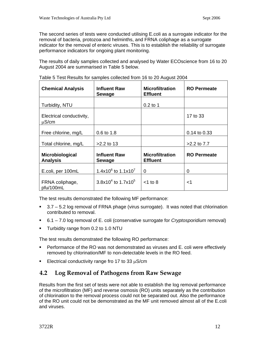<span id="page-14-0"></span>The second series of tests were conducted utilising E.coli as a surrogate indicator for the removal of bacteria, protozoa and helminths, and FRNA coliphage as a surrogate indicator for the removal of enteric viruses. This is to establish the reliability of surrogate performance indicators for ongoing plant monitoring.

The results of daily samples collected and analysed by Water ECOscience from 16 to 20 August 2004 are summarised in Table 5 below.

| <b>Chemical Analysis</b>               | <b>Influent Raw</b><br><b>Sewage</b> | <b>Microfiltration</b><br><b>Effluent</b> | <b>RO Permeate</b> |
|----------------------------------------|--------------------------------------|-------------------------------------------|--------------------|
| Turbidity, NTU                         |                                      | $0.2$ to 1                                |                    |
| Electrical conductivity,<br>$\mu$ S/cm |                                      |                                           | 17 to 33           |
| Free chlorine, mg/L                    | 0.6 to 1.8                           |                                           | 0.14 to 0.33       |
| Total chlorine, mg/L                   | $>2.2$ to 13                         |                                           | $>2.2$ to $7.7$    |
| Microbiological<br><b>Analysis</b>     | <b>Influent Raw</b><br><b>Sewage</b> | <b>Microfiltration</b><br><b>Effluent</b> | <b>RO Permeate</b> |
| E.coli, per 100mL                      | 1.4x10 $^{6}$ to 1.1x10 <sup>7</sup> | 0                                         | 0                  |
| FRNA coliphage,<br>pfu/100mL           | $3.8x104$ to 1.7x10 <sup>5</sup>     | $<$ 1 to 8                                | $<$ 1              |

Table 5 Test Results for samples collected from 16 to 20 August 2004

The test results demonstrated the following MF performance:

- 3.7 5.2 log removal of FRNA phage (virus surrogate). It was noted that chlorination contributed to removal.
- 6.1 7.0 log removal of E. coli (conservative surrogate for *Cryptosporidium* removal)
- **Turbidity range from 0.2 to 1.0 NTU**

The test results demonstrated the following RO performance:

- Performance of the RO was not demonstrated as viruses and E. coli were effectively removed by chlorination/MF to non-detectable levels in the RO feed.
- Electrical conductivity range fro 17 to 33  $\mu$ S/cm

## **4.2 Log Removal of Pathogens from Raw Sewage**

Results from the first set of tests were not able to establish the log removal performance of the microfiltration (MF) and reverse osmosis (RO) units separately as the contribution of chlorination to the removal process could not be separated out. Also the performance of the RO unit could not be demonstrated as the MF unit removed almost all of the E.coli and viruses.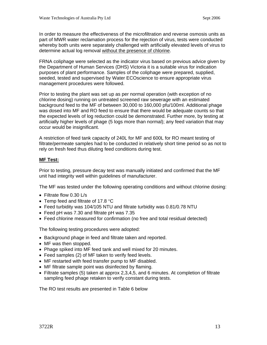In order to measure the effectiveness of the microfiltration and reverse osmosis units as part of MWR water reclamation process for the rejection of virus, tests were conducted whereby both units were separately challenged with artificially elevated levels of virus to determine actual log removal without the presence of chlorine.

FRNA coliphage were selected as the indicator virus based on previous advice given by the Department of Human Services (DHS) Victoria it is a suitable virus for indication purposes of plant performance. Samples of the coliphage were prepared, supplied, seeded, tested and supervised by Water ECOscience to ensure appropriate virus management procedures were followed.

Prior to testing the plant was set up as per normal operation (with exception of no chlorine dosing) running on untreated screened raw sewerage with an estimated background feed to the MF of between 30,000 to 160,000 pfu/100ml. Additional phage was dosed into MF and RO feed to ensure that there would be adequate counts so that the expected levels of log reduction could be demonstrated. Further more, by testing at artificially higher levels of phage (5 logs more than normal); any feed variation that may occur would be insignificant.

A restriction of feed tank capacity of 240L for MF and 600L for RO meant testing of filtrate/permeate samples had to be conducted in relatively short time period so as not to rely on fresh feed thus diluting feed conditions during test.

#### **MF Test:**

Prior to testing, pressure decay test was manually initiated and confirmed that the MF unit had integrity well within guidelines of manufacturer.

The MF was tested under the following operating conditions and without chlorine dosing:

- Filtrate flow 0.30 L/s
- Temp feed and filtrate of 17.8 °C
- Feed turbidity was 104/105 NTU and filtrate turbidity was 0.81/0.78 NTU
- Feed pH was 7.30 and filtrate pH was 7.35
- Feed chlorine measured for confirmation (no free and total residual detected)

The following testing procedures were adopted:

- Background phage in feed and filtrate taken and reported.
- MF was then stopped.
- Phage spiked into MF feed tank and well mixed for 20 minutes.
- Feed samples (2) of MF taken to verify feed levels.
- MF restarted with feed transfer pump to MF disabled.
- MF filtrate sample point was disinfected by flaming.
- Filtrate samples (5) taken at approx 2,3,4,5, and 6 minutes. At completion of filtrate sampling feed phage retaken to verify constant during tests.

The RO test results are presented in Table 6 below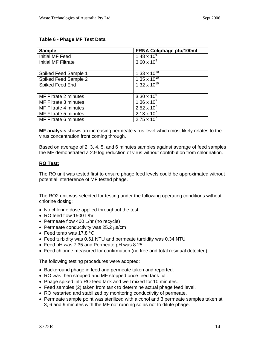#### **Table 6 - Phage MF Test Data**

| <b>Sample</b>                | FRNA Coliphage pfu/100ml |
|------------------------------|--------------------------|
| Initial MF Feed              | $1.48 \times 10^{6}$     |
| Initial MF Filtrate          | $3.60 \times 10^{3}$     |
|                              |                          |
| Spiked Feed Sample 1         | $1.33 \times 10^{10}$    |
| Spiked Feed Sample 2         | $1.35 \times 10^{10}$    |
| Spiked Feed End              | $1.32 \times 10^{10}$    |
|                              |                          |
| MF Filtrate 2 minutes        | $3.30 \times 10^{6}$     |
| MF Filtrate 3 minutes        | $1.36 \times 10^{7}$     |
| <b>MF Filtrate 4 minutes</b> | $2.52 \times 10^{7}$     |
| MF Filtrate 5 minutes        | $2.13 \times 10^{7}$     |
| MF Filtrate 6 minutes        | $2.75 \times 10^{7}$     |

**MF analysis** shows an increasing permeate virus level which most likely relates to the virus concentration front coming through.

Based on average of 2, 3, 4, 5, and 6 minutes samples against average of feed samples the MF demonstrated a 2.9 log reduction of virus without contribution from chlorination.

#### **RO Test:**

The RO unit was tested first to ensure phage feed levels could be approximated without potential interference of MF tested phage.

The RO2 unit was selected for testing under the following operating conditions without chlorine dosing:

- No chlorine dose applied throughout the test
- RO feed flow 1500 L/hr
- Permeate flow 400 L/hr (no recycle)
- Permeate conductivity was 25.2 μs/cm
- Feed temp was 17.8 °C
- Feed turbidity was 0.61 NTU and permeate turbidity was 0.34 NTU
- Feed pH was 7.35 and Permeate pH was 8.25
- Feed chlorine measured for confirmation (no free and total residual detected)

The following testing procedures were adopted:

- Background phage in feed and permeate taken and reported.
- RO was then stopped and MF stopped once feed tank full.
- Phage spiked into RO feed tank and well mixed for 10 minutes.
- Feed samples (2) taken from tank to determine actual phage feed level.
- RO restarted and stabilized by monitoring conductivity of permeate.
- Permeate sample point was sterilized with alcohol and 3 permeate samples taken at 3, 6 and 9 minutes with the MF not running so as not to dilute phage.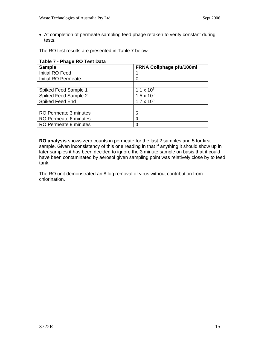• At completion of permeate sampling feed phage retaken to verify constant during tests.

The RO test results are presented in Table 7 below

| Table T - Thage I'V Test Data |                          |
|-------------------------------|--------------------------|
| <b>Sample</b>                 | FRNA Coliphage pfu/100ml |
| Initial RO Feed               |                          |
| Initial RO Permeate           | 0                        |
|                               |                          |
| Spiked Feed Sample 1          | 1.1 x $10^8$             |
| Spiked Feed Sample 2          | $1.5 \times 10^{8}$      |
| Spiked Feed End               | $1.7 \times 10^{8}$      |
|                               |                          |
| RO Permeate 3 minutes         | 5                        |
| RO Permeate 6 minutes         |                          |
| RO Permeate 9 minutes         |                          |

## **Table 7 - Phage RO Test Data**

**RO analysis** shows zero counts in permeate for the last 2 samples and 5 for first sample. Given inconsistency of this one reading in that if anything it should show up in later samples it has been decided to ignore the 3 minute sample on basis that it could have been contaminated by aerosol given sampling point was relatively close by to feed tank.

The RO unit demonstrated an 8 log removal of virus without contribution from chlorination.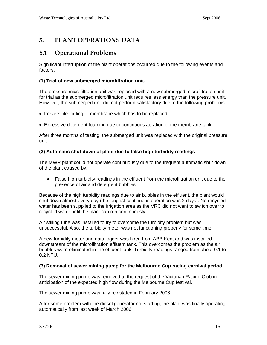# <span id="page-18-0"></span>**5. PLANT OPERATIONS DATA**

## **5.1 Operational Problems**

Significant interruption of the plant operations occurred due to the following events and factors.

## **(1) Trial of new submerged microfiltration unit.**

The pressure microfiltration unit was replaced with a new submerged microfiltration unit for trial as the submerged microfiltration unit requires less energy than the pressure unit. However, the submerged unit did not perform satisfactory due to the following problems:

- Irreversible fouling of membrane which has to be replaced
- Excessive detergent foaming due to continuous aeration of the membrane tank.

After three months of testing, the submerged unit was replaced with the original pressure unit

#### **(2) Automatic shut down of plant due to false high turbidity readings**

The MWR plant could not operate continuously due to the frequent automatic shut down of the plant caused by:

• False high turbidity readings in the effluent from the microfiltration unit due to the presence of air and detergent bubbles.

Because of the high turbidity readings due to air bubbles in the effluent, the plant would shut down almost every day (the longest continuous operation was 2 days). No recycled water has been supplied to the irrigation area as the VRC did not want to switch over to recycled water until the plant can run continuously.

Air stilling tube was installed to try to overcome the turbidity problem but was unsuccessful. Also, the turbidity meter was not functioning properly for some time.

A new turbidity meter and data logger was hired from ABB Kent and was installed downstream of the microfiltration effluent tank. This overcomes the problem as the air bubbles were eliminated in the effluent tank. Turbidity readings ranged from about 0.1 to 0.2 NTU.

#### **(3) Removal of sewer mining pump for the Melbourne Cup racing carnival period**

The sewer mining pump was removed at the request of the Victorian Racing Club in anticipation of the expected high flow during the Melbourne Cup festival.

The sewer mining pump was fully reinstated in February 2006.

After some problem with the diesel generator not starting, the plant was finally operating automatically from last week of March 2006.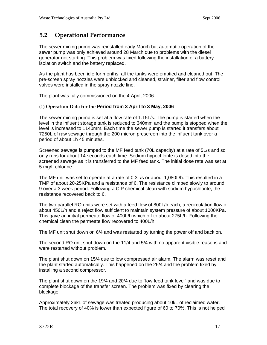# <span id="page-19-0"></span>**5.2 Operational Performance**

The sewer mining pump was reinstalled early March but automatic operation of the sewer pump was only achieved around 28 March due to problems with the diesel generator not starting. This problem was fixed following the installation of a battery isolation switch and the battery replaced.

As the plant has been idle for months, all the tanks were emptied and cleaned out. The pre-screen spray nozzles were unblocked and cleaned, strainer, filter and flow control valves were installed in the spray nozzle line.

The plant was fully commissioned on the 4 April, 2006.

#### **(1) Operation Data for the Period from 3 April to 3 May, 2006**

The sewer mining pump is set at a flow rate of 1.15L/s. The pump is started when the level in the influent storage tank is reduced to 340mm and the pump is stopped when the level is increased to 1140mm. Each time the sewer pump is started it transfers about 7250L of raw sewage through the 200 micron prescreen into the influent tank over a period of about 1h 45 minutes.

Screened sewage is pumped to the MF feed tank (70L capacity) at a rate of 5L/s and so only runs for about 14 seconds each time. Sodium hypochlorite is dosed into the screened sewage as it is transferred to the MF feed tank. The initial dose rate was set at 5 mg/L chlorine.

The MF unit was set to operate at a rate of 0.3L/s or about 1,080L/h. This resulted in a TMP of about 20-25KPa and a resistance of 6. The resistance climbed slowly to around 9 over a 3 week period. Following a CIP chemical clean with sodium hypochlorite, the resistance recovered back to 6.

The two parallel RO units were set with a feed flow of 800L/h each, a recirculation flow of about 450L/h and a reject flow sufficient to maintain system pressure of about 1000KPa. This gave an initial permeate flow of 400L/h which off to about 275L/h. Following the chemical clean the permeate flow recovered to 400L/h.

The MF unit shut down on 6/4 and was restarted by turning the power off and back on.

The second RO unit shut down on the 11/4 and 5/4 with no apparent visible reasons and were restarted without problem.

The plant shut down on 15/4 due to low compressed air alarm. The alarm was reset and the plant started automatically. This happened on the 26/4 and the problem fixed by installing a second compressor.

The plant shut down on the 19/4 and 20/4 due to "low feed tank level" and was due to complete blockage of the transfer screen. The problem was fixed by clearing the blockage.

Approximately 26kL of sewage was treated producing about 10kL of reclaimed water. The total recovery of 40% is lower than expected figure of 60 to 70%. This is not helped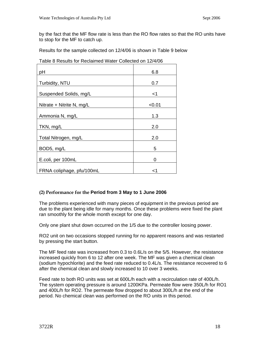by the fact that the MF flow rate is less than the RO flow rates so that the RO units have to stop for the MF to catch up.

Results for the sample collected on 12/4/06 is shown in Table 9 below

| рH                        | 6.8    |
|---------------------------|--------|
| Turbidity, NTU            | 0.7    |
| Suspended Solids, mg/L    | <1     |
| Nitrate + Nitrite N, mg/L | < 0.01 |
| Ammonia N, mg/L           | 1.3    |
| TKN, mg/L                 | 2.0    |
| Total Nitrogen, mg/L      | 2.0    |
| BOD5, mg/L                | 5      |
| E.coli, per 100mL         | 0      |
| FRNA coliphage, pfu/100mL | ا>     |

Table 8 Results for Reclaimed Water Collected on 12/4/06

## **(2) Performance for the Period from 3 May to 1 June 2006**

The problems experienced with many pieces of equipment in the previous period are due to the plant being idle for many months. Once these problems were fixed the plant ran smoothly for the whole month except for one day.

Only one plant shut down occurred on the 1/5 due to the controller loosing power.

RO2 unit on two occasions stopped running for no apparent reasons and was restarted by pressing the start button.

The MF feed rate was increased from 0.3 to 0.6L/s on the 5/5. However, the resistance increased quickly from 6 to 12 after one week. The MF was given a chemical clean (sodium hypochlorite) and the feed rate reduced to 0.4L/s. The resistance recovered to 6 after the chemical clean and slowly increased to 10 over 3 weeks.

Feed rate to both RO units was set at 600L/h each with a recirculation rate of 400L/h. The system operating pressure is around 1200KPa. Permeate flow were 350L/h for RO1 and 400L/h for RO2. The permeate flow dropped to about 300L/h at the end of the period. No chemical clean was performed on the RO units in this period.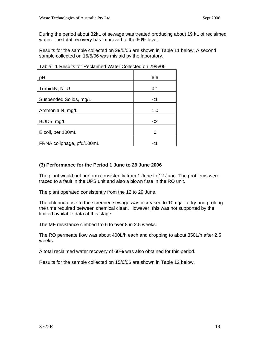During the period about 32kL of sewage was treated producing about 19 kL of reclaimed water. The total recovery has improved to the 60% level.

Results for the sample collected on 29/5/06 are shown in Table 11 below. A second sample collected on 15/5/06 was mislaid by the laboratory.

| pH                        | 6.6 |
|---------------------------|-----|
| Turbidity, NTU            | 0.1 |
| Suspended Solids, mg/L    | <1  |
| Ammonia N, mg/L           | 1.0 |
| BOD5, mg/L                | $2$ |
| E.coli, per 100mL         |     |
| FRNA coliphage, pfu/100mL |     |

Table 11 Results for Reclaimed Water Collected on 29/5/06

#### **(3) Performance for the Period 1 June to 29 June 2006**

The plant would not perform consistently from 1 June to 12 June. The problems were traced to a fault in the UPS unit and also a blown fuse in the RO unit.

The plant operated consistently from the 12 to 29 June.

The chlorine dose to the screened sewage was increased to 10mg/L to try and prolong the time required between chemical clean. However, this was not supported by the limited available data at this stage.

The MF resistance climbed fro 6 to over 8 in 2.5 weeks.

The RO permeate flow was about 400L/h each and dropping to about 350L/h after 2.5 weeks.

A total reclaimed water recovery of 60% was also obtained for this period.

Results for the sample collected on 15/6/06 are shown in Table 12 below.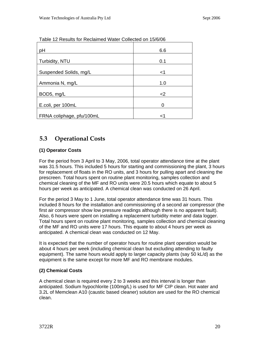| pH                        | 6.6   |
|---------------------------|-------|
|                           |       |
| Turbidity, NTU            | 0.1   |
|                           |       |
| Suspended Solids, mg/L    | $<$ 1 |
|                           |       |
| Ammonia N, mg/L           | 1.0   |
|                           |       |
| BOD5, mg/L                | $<$ 2 |
|                           |       |
| E.coli, per 100mL         | 0     |
|                           |       |
| FRNA coliphage, pfu/100mL | <1    |

<span id="page-22-0"></span>Table 12 Results for Reclaimed Water Collected on 15/6/06

# **5.3 Operational Costs**

## **(1) Operator Costs**

For the period from 3 April to 3 May, 2006, total operator attendance time at the plant was 31.5 hours. This included 5 hours for starting and commissioning the plant, 3 hours for replacement of floats in the RO units, and 3 hours for pulling apart and cleaning the prescreen. Total hours spent on routine plant monitoring, samples collection and chemical cleaning of the MF and RO units were 20.5 hours which equate to about 5 hours per week as anticipated. A chemical clean was conducted on 26 April.

For the period 3 May to 1 June, total operator attendance time was 31 hours. This included 8 hours for the installation and commissioning of a second air compressor (the first air compressor show low pressure readings although there is no apparent fault). Also, 6 hours were spent on installing a replacement turbidity meter and data logger. Total hours spent on routine plant monitoring, samples collection and chemical cleaning of the MF and RO units were 17 hours. This equate to about 4 hours per week as anticipated. A chemical clean was conducted on 12 May.

It is expected that the number of operator hours for routine plant operation would be about 4 hours per week (including chemical clean but excluding attending to faulty equipment). The same hours would apply to larger capacity plants (say 50 kL/d) as the equipment is the same except for more MF and RO membrane modules.

## **(2) Chemical Costs**

A chemical clean is required every 2 to 3 weeks and this interval is longer than anticipated. Sodium hypochlorite (100mg/L) is used for MF CIP clean. Hot water and 3.2L of Memclean A10 (caustic based cleaner) solution are used for the RO chemical clean.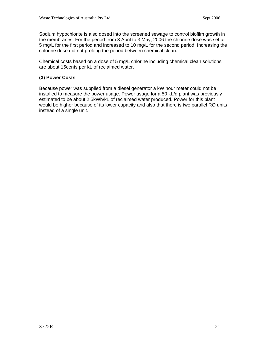Sodium hypochlorite is also dosed into the screened sewage to control biofilm growth in the membranes. For the period from 3 April to 3 May, 2006 the chlorine dose was set at 5 mg/L for the first period and increased to 10 mg/L for the second period. Increasing the chlorine dose did not prolong the period between chemical clean.

Chemical costs based on a dose of 5 mg/L chlorine including chemical clean solutions are about 15cents per kL of reclaimed water.

#### **(3) Power Costs**

Because power was supplied from a diesel generator a kW hour meter could not be installed to measure the power usage. Power usage for a 50 kL/d plant was previously estimated to be about 2.5kWh/kL of reclaimed water produced. Power for this plant would be higher because of its lower capacity and also that there is two parallel RO units instead of a single unit.